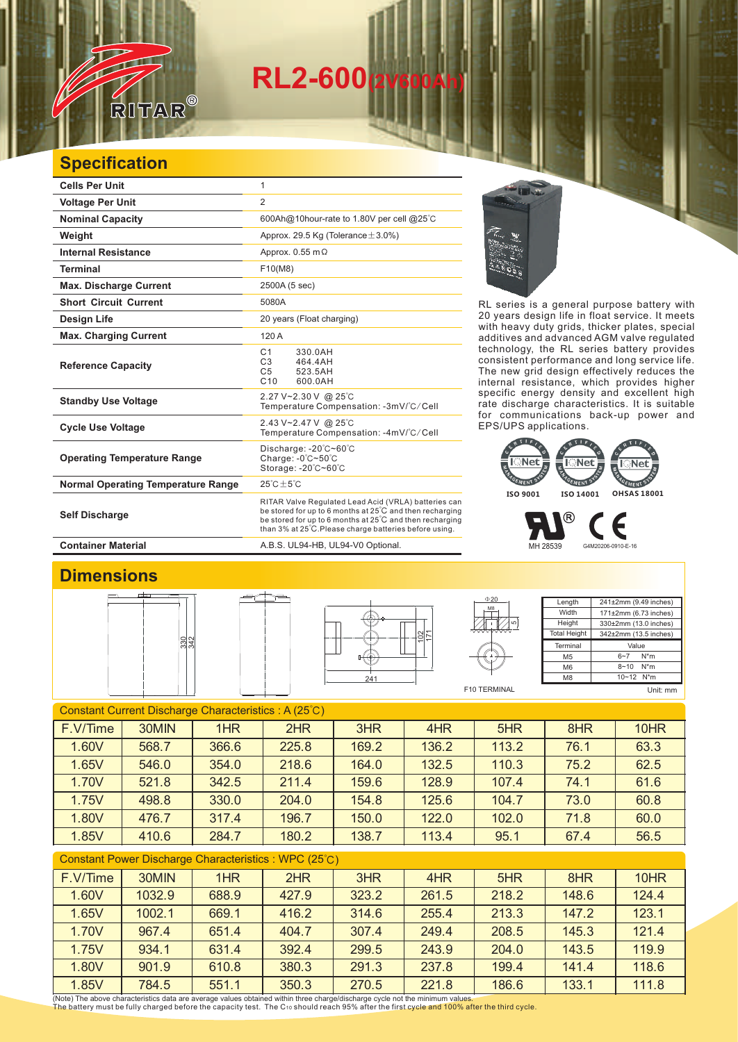# **RL2-600(2V600Ah)**

### **Specification**

RITAR

| <b>Cells Per Unit</b>                     | 1                                                                                                                                                                                                                                      |  |  |
|-------------------------------------------|----------------------------------------------------------------------------------------------------------------------------------------------------------------------------------------------------------------------------------------|--|--|
| <b>Voltage Per Unit</b>                   | $\overline{2}$                                                                                                                                                                                                                         |  |  |
| <b>Nominal Capacity</b>                   | 600Ah@10hour-rate to 1.80V per cell @25°C                                                                                                                                                                                              |  |  |
| Weight                                    | Approx. 29.5 Kg (Tolerance $\pm$ 3.0%)                                                                                                                                                                                                 |  |  |
| <b>Internal Resistance</b>                | Approx. $0.55$ m $\Omega$                                                                                                                                                                                                              |  |  |
| <b>Terminal</b>                           | F10(M8)                                                                                                                                                                                                                                |  |  |
| <b>Max. Discharge Current</b>             | 2500A (5 sec)                                                                                                                                                                                                                          |  |  |
| <b>Short Circuit Current</b>              | 5080A                                                                                                                                                                                                                                  |  |  |
| Design Life                               | 20 years (Float charging)                                                                                                                                                                                                              |  |  |
| <b>Max. Charging Current</b>              | 120 A                                                                                                                                                                                                                                  |  |  |
| <b>Reference Capacity</b>                 | C <sub>1</sub><br>330.0AH<br>C <sub>3</sub><br>464.4AH<br>C <sub>5</sub><br>523.5AH<br>C <sub>10</sub><br>600.0AH                                                                                                                      |  |  |
| <b>Standby Use Voltage</b>                | 2.27 V~2.30 V @ 25°C<br>Temperature Compensation: -3mV/°C/Cell                                                                                                                                                                         |  |  |
| <b>Cycle Use Voltage</b>                  | 2.43 V~2.47 V @ 25°C<br>Temperature Compensation: -4mV/°C/Cell                                                                                                                                                                         |  |  |
| <b>Operating Temperature Range</b>        | Discharge: -20°C~60°C<br>Charge: $-0^\circ$ C $-50^\circ$ C<br>Storage: -20°C~60°C                                                                                                                                                     |  |  |
| <b>Normal Operating Temperature Range</b> | $25^{\circ}$ C + 5 $^{\circ}$ C                                                                                                                                                                                                        |  |  |
| <b>Self Discharge</b>                     | RITAR Valve Regulated Lead Acid (VRLA) batteries can<br>be stored for up to 6 months at 25°C and then recharging<br>be stored for up to 6 months at 25°C and then recharging<br>than 3% at 25°C. Please charge batteries before using. |  |  |

RL series is a general purpose battery with 20 years design life in float service. It meets with heavy duty grids, thicker plates, special additives and advanced AGM valve regulated technology, the RL series battery provides consistent performance and long service life. The new grid design effectively reduces the internal resistance, which provides higher specific energy density and excellent high rate discharge characteristics. It is suitable for communications back-up power and EPS/UPS applications.



MH 28539 G4M20206-0910-E-16

**Container Material Container Material A.B.S. UL94-HB, UL94-V0 Optional.** 

#### **Dimensions**







Length Width **Height** Total Height 241±2mm (9.49 inches) 171±2mm (6.73 inches) 330±2mm (13.0 inches) 342±2mm (13.5 inches) **Termina** M5 M6 M8 Value  $\frac{6-7}{8-10}$  N<sup>\*</sup>m  $8 - 10$ 10~12 N\*m

F10 TERMINAL

 $020$ 

Unit: mm

#### Constant Current Discharge Characteristics : A (25℃) Constant Power Discharge Characteristics : WPC (25℃) F.V/Time | 30MIN | 1HR | 2HR | 3HR | 4HR | 5HR | 8HR | 10HR 1.60V 568.7 366.6 225.8 169.2 136.2 113.2 76.1 63.3 1.65V 546.0 354.0 218.6 164.0 132.5 110.3 75.2 62.5 1.70V 521.8 342.5 211.4 159.6 128.9 107.4 74.1 61.6 1.75V 498.8 330.0 204.0 154.8 125.6 104.7 73.0 60.8 1.80V 476.7 317.4 196.7 150.0 122.0 102.0 71.8 60.0 1.85V 410.6 284.7 180.2 138.7 113.4 95.1 67.4 56.5

| <b>Constant Fower Discharge Characteristics</b> . WE C (20 C) |        |       |       |       |       |       |       |       |  |
|---------------------------------------------------------------|--------|-------|-------|-------|-------|-------|-------|-------|--|
| F.V/Time                                                      | 30MIN  | 1HR   | 2HR   | 3HR   | 4HR   | 5HR   | 8HR   | 10HR  |  |
| 1.60V                                                         | 1032.9 | 688.9 | 427.9 | 323.2 | 261.5 | 218.2 | 148.6 | 124.4 |  |
| 1.65V                                                         | 1002.1 | 669.1 | 416.2 | 314.6 | 255.4 | 213.3 | 147.2 | 123.1 |  |
| 1.70V                                                         | 967.4  | 651.4 | 404.7 | 307.4 | 249.4 | 208.5 | 145.3 | 121.4 |  |
| 1.75V                                                         | 934.1  | 631.4 | 392.4 | 299.5 | 243.9 | 204.0 | 143.5 | 119.9 |  |
| 1.80V                                                         | 901.9  | 610.8 | 380.3 | 291.3 | 237.8 | 199.4 | 141.4 | 118.6 |  |
| 1.85V                                                         | 784.5  | 551.1 | 350.3 | 270.5 | 221.8 | 186.6 | 133.1 | 111.8 |  |

(Note) The above characteristics data are average values obtained within three charge/discharge cycle not the minimum values.<br>The battery must be fully charged before the capacity test. The C10 should reach 95% after the